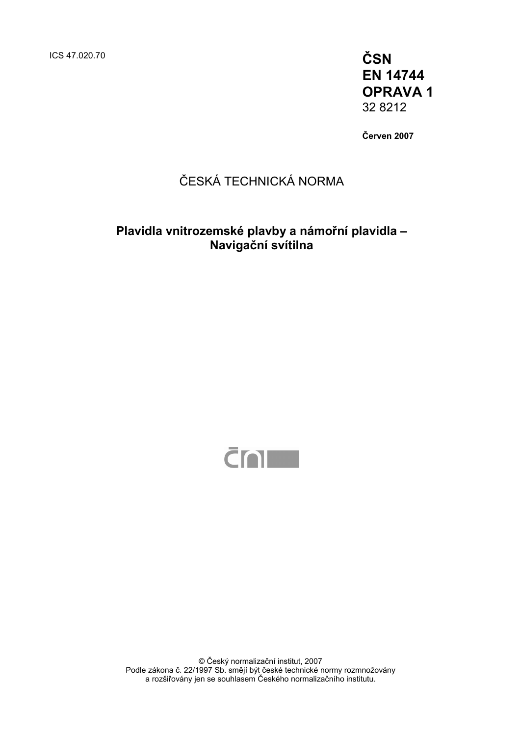ICS 47.020.70 **ČSN** 

**EN 14744 OPRAVA 1**  32 8212

**Červen 2007** 

## ČESKÁ TECHNICKÁ NORMA

## **Plavidla vnitrozemské plavby a námořní plavidla – Navigační svítilna**



© Český normalizační institut, 2007 Podle zákona č. 22/1997 Sb. smějí být české technické normy rozmnožovány a rozšiřovány jen se souhlasem Českého normalizačního institutu.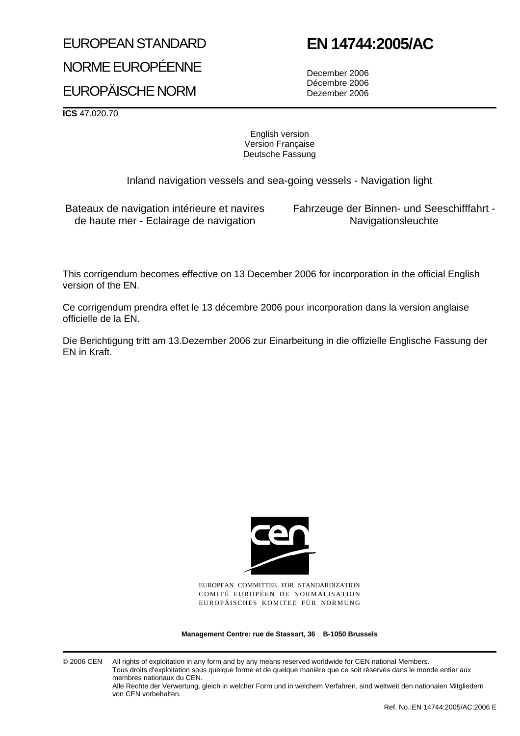# EUROPEAN STANDARD NORME EUROPÉENNE EUROPÄISCHE NORM

# **EN 14744:2005/AC**

December 2006 Décembre 2006 Dezember 2006

**ICS** 47.020.70

English version Version Française Deutsche Fassung

Inland navigation vessels and sea-going vessels - Navigation light

Bateaux de navigation intérieure et navires de haute mer - Eclairage de navigation

Fahrzeuge der Binnen- und Seeschifffahrt - Navigationsleuchte

This corrigendum becomes effective on 13 December 2006 for incorporation in the official English version of the EN.

Ce corrigendum prendra effet le 13 décembre 2006 pour incorporation dans la version anglaise officielle de la EN.

Die Berichtigung tritt am 13.Dezember 2006 zur Einarbeitung in die offizielle Englische Fassung der EN in Kraft.



EUROPEAN COMMITTEE FOR STANDARDIZATION COMITÉ EUROPÉEN DE NORMALISATION EUROPÄISCHES KOMITEE FÜR NORMUNG

**Management Centre: rue de Stassart, 36 B-1050 Brussels**

© 2006 CEN All rights of exploitation in any form and by any means reserved worldwide for CEN national Members. Tous droits d'exploitation sous quelque forme et de quelque manière que ce soit réservés dans le monde entier aux membres nationaux du CEN.

Alle Rechte der Verwertung, gleich in welcher Form und in welchem Verfahren, sind weltweit den nationalen Mitgliedern von CEN vorbehalten.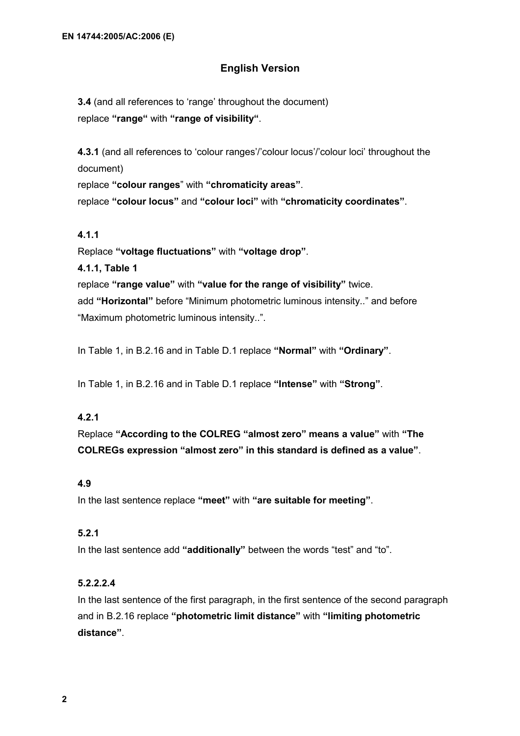#### **English Version**

**3.4** (and all references to 'range' throughout the document) replace **"range"** with **"range of visibility"**.

**4.3.1** (and all references to 'colour ranges'/'colour locus'/'colour loci' throughout the document)

replace **"colour ranges**" with **"chromaticity areas"**.

replace **"colour locus"** and **"colour loci"** with **"chromaticity coordinates"**.

#### **4.1.1**

Replace **"voltage fluctuations"** with **"voltage drop"**.

**4.1.1, Table 1** 

replace **"range value"** with **"value for the range of visibility"** twice. add **"Horizontal"** before "Minimum photometric luminous intensity.." and before "Maximum photometric luminous intensity..".

In Table 1, in B.2.16 and in Table D.1 replace **"Normal"** with **"Ordinary"**.

In Table 1, in B.2.16 and in Table D.1 replace **"Intense"** with **"Strong"**.

#### **4.2.1**

Replace **"According to the COLREG "almost zero" means a value"** with **"The COLREGs expression "almost zero" in this standard is defined as a value"**.

#### **4.9**

In the last sentence replace **"meet"** with **"are suitable for meeting"**.

#### **5.2.1**

In the last sentence add **"additionally"** between the words "test" and "to".

#### **5.2.2.2.4**

In the last sentence of the first paragraph, in the first sentence of the second paragraph and in B.2.16 replace **"photometric limit distance"** with **"limiting photometric distance"**.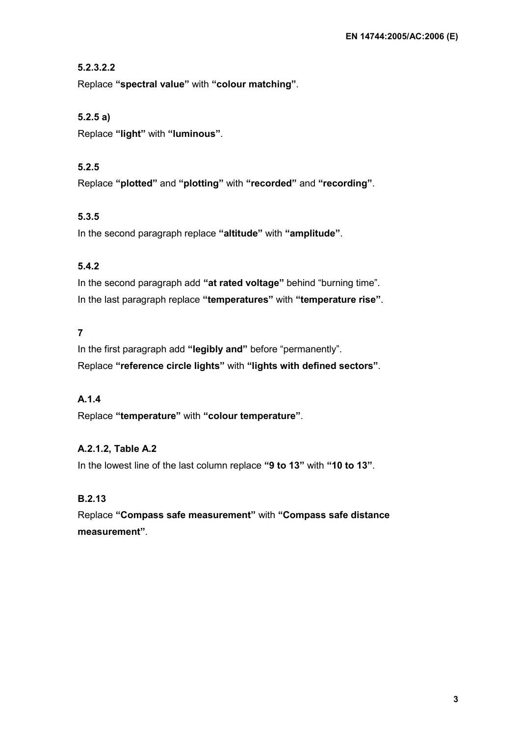### **5.2.3.2.2**

Replace **"spectral value"** with **"colour matching"**.

## **5.2.5 a)**

Replace **"light"** with **"luminous"**.

## **5.2.5**

Replace **"plotted"** and **"plotting"** with **"recorded"** and **"recording"**.

### **5.3.5**

In the second paragraph replace **"altitude"** with **"amplitude"**.

## **5.4.2**

In the second paragraph add **"at rated voltage"** behind "burning time". In the last paragraph replace **"temperatures"** with **"temperature rise"**.

## **7**

In the first paragraph add **"legibly and"** before "permanently". Replace **"reference circle lights"** with **"lights with defined sectors"**.

### **A.1.4**

Replace **"temperature"** with **"colour temperature"**.

### **A.2.1.2, Table A.2**

In the lowest line of the last column replace **"9 to 13"** with **"10 to 13"**.

### **B.2.13**

Replace **"Compass safe measurement"** with **"Compass safe distance measurement"**.